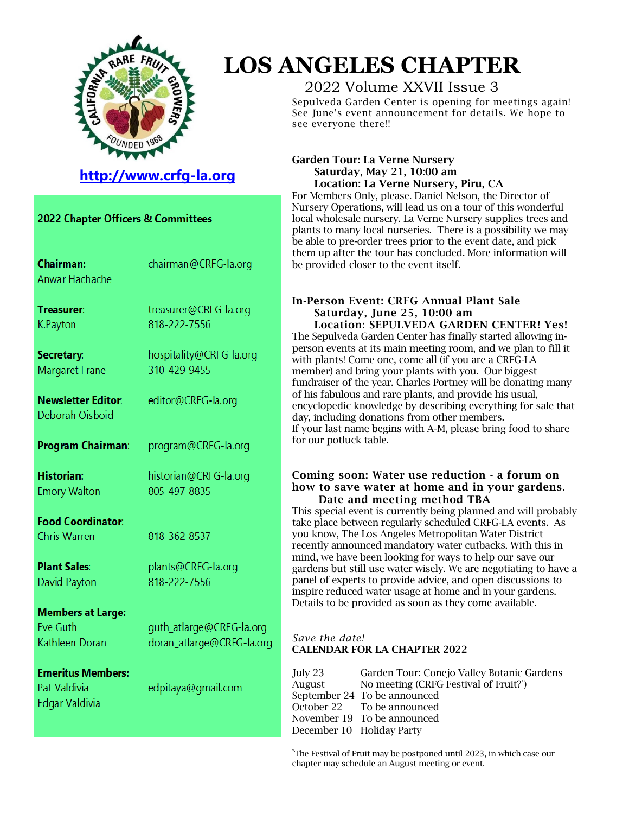

# **LOS ANGELES CHAPTER**

## 2022 Volume XXVII Issue 3

Sepulveda Garden Center is opening for meetings again! See June's event announcement for details. We hope to see everyone there!!

#### Garden Tour: La Verne Nursery Saturday, May 21, 10:00 am Location: La Verne Nursery, Piru, CA

For Members Only, please. Daniel Nelson, the Director of Nursery Operations, will lead us on a tour of this wonderful local wholesale nursery. La Verne Nursery supplies trees and plants to many local nurseries. There is a possibility we may be able to pre-order trees prior to the event date, and pick them up after the tour has concluded. More information will be provided closer to the event itself.

#### In-Person Event: CRFG Annual Plant Sale Saturday, June 25, 10:00 am Location: SEPULVEDA GARDEN CENTER! Yes!

The Sepulveda Garden Center has finally started allowing inperson events at its main meeting room, and we plan to fill it with plants! Come one, come all (if you are a CRFG-LA member) and bring your plants with you. Our biggest fundraiser of the year. Charles Portney will be donating many of his fabulous and rare plants, and provide his usual, encyclopedic knowledge by describing everything for sale that day, including donations from other members. If your last name begins with A-M, please bring food to share for our potluck table.

#### Coming soon: Water use reduction - a forum on how to save water at home and in your gardens. Date and meeting method TBA

This special event is currently being planned and will probably take place between regularly scheduled CRFG-LA events. As you know, The Los Angeles Metropolitan Water District recently announced mandatory water cutbacks. With this in mind, we have been looking for ways to help our save our gardens but still use water wisely. We are negotiating to have a panel of experts to provide advice, and open discussions to inspire reduced water usage at home and in your gardens. Details to be provided as soon as they come available.

#### *Save the date!* CALENDAR FOR LA CHAPTER 2022

rq

| July 23                   | Garden Tour: Conejo Valley Botanic Gardens |
|---------------------------|--------------------------------------------|
|                           |                                            |
| August                    | No meeting (CRFG Festival of Fruit?")      |
|                           | September 24 To be announced               |
|                           | October 22 To be announced                 |
|                           | November 19 To be announced                |
| December 10 Holiday Party |                                            |
|                           |                                            |

\*The Festival of Fruit may be postponed until 2023, in which case our chapter may schedule an August meeting or event.

| http://www.crfg-la.org |  |
|------------------------|--|
|                        |  |

| 2022 Chapter Officers & Committees                            |                                                     |  |
|---------------------------------------------------------------|-----------------------------------------------------|--|
| <b>Chairman:</b><br>Anwar Hachache                            | chairman@CRFG-la.org                                |  |
| Treasurer:<br>K.Payton                                        | treasurer@CRFG-la.org<br>818-222-7556               |  |
| Secretary:<br>Margaret Frane                                  | hospitality@CRFG-la.org<br>310-429-9455             |  |
| <b>Newsletter Editor:</b><br>Deborah Oisboid                  | editor@CRFG-la.org                                  |  |
| Program Chairman:                                             | program@CRFG-la.org                                 |  |
| <b>Historian:</b><br><b>Emory Walton</b>                      | historian@CRFG-la.org<br>805-497-8835               |  |
| <b>Food Coordinator:</b><br><b>Chris Warren</b>               | 818-362-8537                                        |  |
| <b>Plant Sales:</b><br>David Payton                           | plants@CRFG-la.org<br>818-222-7556                  |  |
| <b>Members at Large:</b><br><b>Eve Guth</b><br>Kathleen Doran | guth_atlarge@CRFG-la.org<br>doran_atlarge@CRFG-la.o |  |
| <b>Emeritus Members:</b><br>Pat Valdivia<br>Edgar Valdivia    | edpitaya@gmail.com                                  |  |
|                                                               |                                                     |  |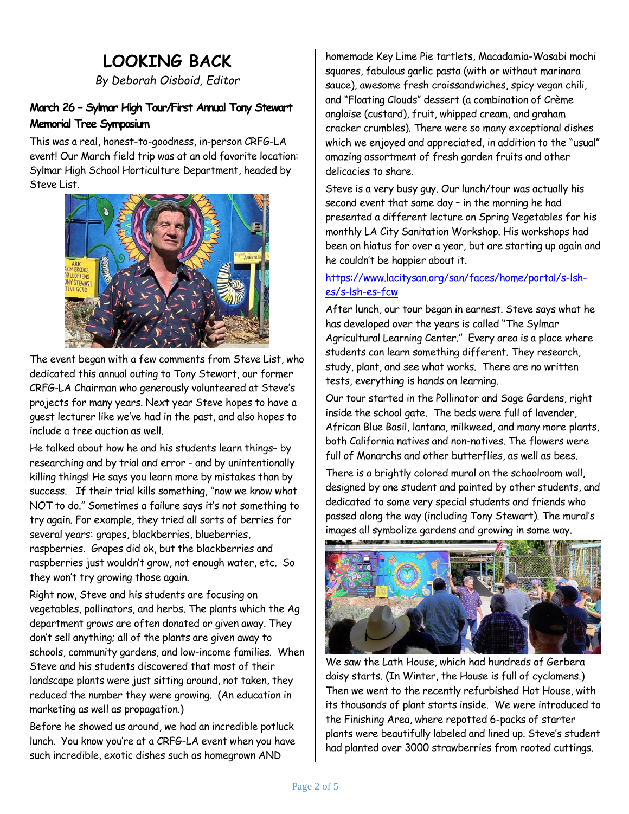## **LOOKING BACK**

*By Deborah Oisboid, Editor*

## **March 26 – Sylmar High Tour/First Annual Tony Stewart Memorial Tree Symposium**

This was a real, honest-to-goodness, in-person CRFG-LA event! Our March field trip was at an old favorite location: Sylmar High School Horticulture Department, headed by Steve List.



The event began with a few comments from Steve List, who dedicated this annual outing to Tony Stewart, our former CRFG-LA Chairman who generously volunteered at Steve's projects for many years. Next year Steve hopes to have a guest lecturer like we've had in the past, and also hopes to include a tree auction as well.

He talked about how he and his students learn things– by researching and by trial and error - and by unintentionally killing things! He says you learn more by mistakes than by success. If their trial kills something, "now we know what NOT to do." Sometimes a failure says it's not something to try again. For example, they tried all sorts of berries for several years: grapes, blackberries, blueberries, raspberries. Grapes did ok, but the blackberries and raspberries just wouldn't grow, not enough water, etc. So they won't try growing those again.

Right now, Steve and his students are focusing on vegetables, pollinators, and herbs. The plants which the Ag department grows are often donated or given away. They don't sell anything; all of the plants are given away to schools, community gardens, and low-income families. When Steve and his students discovered that most of their landscape plants were just sitting around, not taken, they reduced the number they were growing. (An education in marketing as well as propagation.)

Before he showed us around, we had an incredible potluck lunch. You know you're at a CRFG-LA event when you have such incredible, exotic dishes such as homegrown AND

homemade Key Lime Pie tartlets, Macadamia-Wasabi mochi squares, fabulous garlic pasta (with or without marinara sauce), awesome fresh croissandwiches, spicy vegan chili, and "Floating Clouds" dessert (a combination of Crème anglaise (custard), fruit, whipped cream, and graham cracker crumbles). There were so many exceptional dishes which we enjoyed and appreciated, in addition to the "usual" amazing assortment of fresh garden fruits and other delicacies to share.

Steve is a very busy guy. Our lunch/tour was actually his second event that same day – in the morning he had presented a different lecture on Spring Vegetables for his monthly LA City Sanitation Workshop. His workshops had been on hiatus for over a year, but are starting up again and he couldn't be happier about it.

### [https://www.lacitysan.org/san/faces/home/portal/s-lsh](https://www.lacitysan.org/san/faces/home/portal/s-lsh-es/s-lsh-es-fcw)[es/s-lsh-es-fcw](https://www.lacitysan.org/san/faces/home/portal/s-lsh-es/s-lsh-es-fcw)

After lunch, our tour began in earnest. Steve says what he has developed over the years is called "The Sylmar Agricultural Learning Center." Every area is a place where students can learn something different. They research, study, plant, and see what works. There are no written tests, everything is hands on learning.

Our tour started in the Pollinator and Sage Gardens, right inside the school gate. The beds were full of lavender, African Blue Basil, lantana, milkweed, and many more plants, both California natives and non-natives. The flowers were full of Monarchs and other butterflies, as well as bees.

There is a brightly colored mural on the schoolroom wall, designed by one student and painted by other students, and dedicated to some very special students and friends who passed along the way (including Tony Stewart). The mural's images all symbolize gardens and growing in some way.



We saw the Lath House, which had hundreds of Gerbera daisy starts. (In Winter, the House is full of cyclamens.) Then we went to the recently refurbished Hot House, with its thousands of plant starts inside. We were introduced to the Finishing Area, where repotted 6-packs of starter plants were beautifully labeled and lined up. Steve's student had planted over 3000 strawberries from rooted cuttings.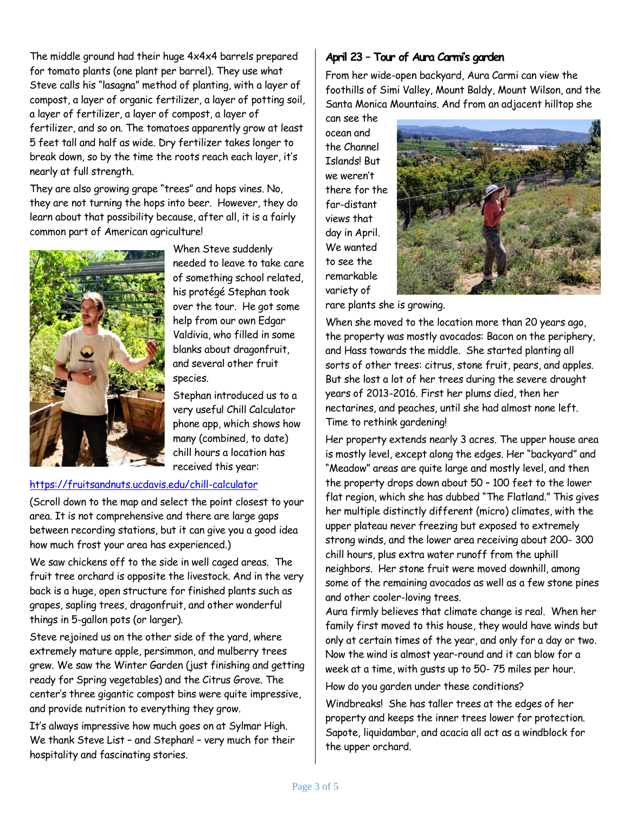The middle ground had their huge 4x4x4 barrels prepared for tomato plants (one plant per barrel). They use what Steve calls his "lasagna" method of planting, with a layer of compost, a layer of organic fertilizer, a layer of potting soil, a layer of fertilizer, a layer of compost, a layer of fertilizer, and so on. The tomatoes apparently grow at least 5 feet tall and half as wide. Dry fertilizer takes longer to break down, so by the time the roots reach each layer, it's nearly at full strength.

They are also growing grape "trees" and hops vines. No, they are not turning the hops into beer. However, they do learn about that possibility because, after all, it is a fairly common part of American agriculture!



When Steve suddenly needed to leave to take care of something school related, his protégé Stephan took over the tour. He got some help from our own Edgar Valdivia, who filled in some blanks about dragonfruit, and several other fruit species.

Stephan introduced us to a very useful Chill Calculator phone app, which shows how many (combined, to date) chill hours a location has received this year:

#### <https://fruitsandnuts.ucdavis.edu/chill-calculator>

(Scroll down to the map and select the point closest to your area. It is not comprehensive and there are large gaps between recording stations, but it can give you a good idea how much frost your area has experienced.)

We saw chickens off to the side in well caged areas. The fruit tree orchard is opposite the livestock. And in the very back is a huge, open structure for finished plants such as grapes, sapling trees, dragonfruit, and other wonderful things in 5-gallon pots (or larger).

Steve rejoined us on the other side of the yard, where extremely mature apple, persimmon, and mulberry trees grew. We saw the Winter Garden (just finishing and getting ready for Spring vegetables) and the Citrus Grove. The center's three gigantic compost bins were quite impressive, and provide nutrition to everything they grow.

It's always impressive how much goes on at Sylmar High. We thank Steve List – and Stephan! – very much for their hospitality and fascinating stories.

### **April 23 – Tour of Aura Carmi's garden**

From her wide-open backyard, Aura Carmi can view the foothills of Simi Valley, Mount Baldy, Mount Wilson, and the Santa Monica Mountains. And from an adjacent hilltop she

can see the ocean and the Channel Islands! But we weren't there for the far-distant views that day in April. We wanted to see the remarkable variety of



rare plants she is growing.

When she moved to the location more than 20 years ago, the property was mostly avocados: Bacon on the periphery, and Hass towards the middle. She started planting all sorts of other trees: citrus, stone fruit, pears, and apples. But she lost a lot of her trees during the severe drought years of 2013-2016. First her plums died, then her nectarines, and peaches, until she had almost none left. Time to rethink gardening!

Her property extends nearly 3 acres. The upper house area is mostly level, except along the edges. Her "backyard" and "Meadow" areas are quite large and mostly level, and then the property drops down about 50 – 100 feet to the lower flat region, which she has dubbed "The Flatland." This gives her multiple distinctly different (micro) climates, with the upper plateau never freezing but exposed to extremely strong winds, and the lower area receiving about 200- 300 chill hours, plus extra water runoff from the uphill neighbors. Her stone fruit were moved downhill, among some of the remaining avocados as well as a few stone pines and other cooler-loving trees.

Aura firmly believes that climate change is real. When her family first moved to this house, they would have winds but only at certain times of the year, and only for a day or two. Now the wind is almost year-round and it can blow for a week at a time, with gusts up to 50- 75 miles per hour.

How do you garden under these conditions?

Windbreaks! She has taller trees at the edges of her property and keeps the inner trees lower for protection. Sapote, liquidambar, and acacia all act as a windblock for the upper orchard.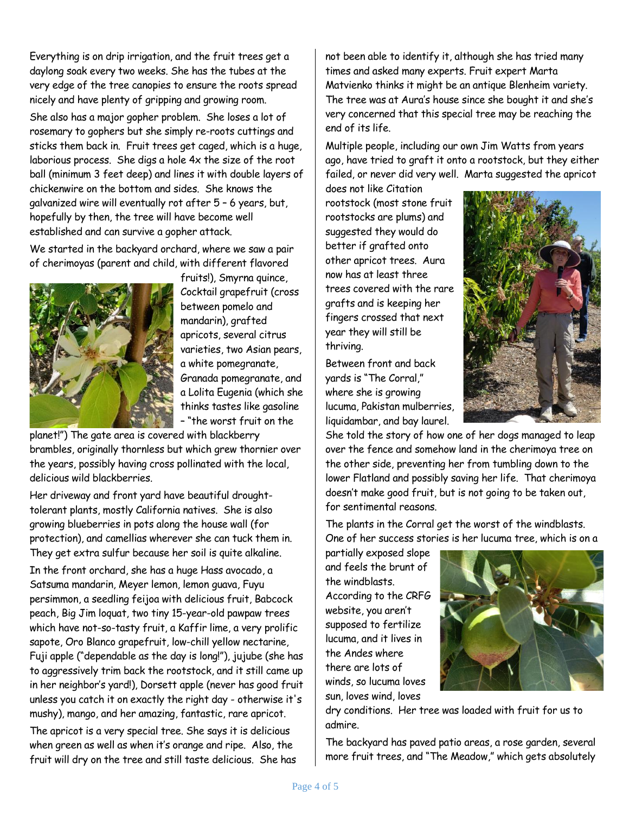Everything is on drip irrigation, and the fruit trees get a daylong soak every two weeks. She has the tubes at the very edge of the tree canopies to ensure the roots spread nicely and have plenty of gripping and growing room. She also has a major gopher problem. She loses a lot of rosemary to gophers but she simply re-roots cuttings and sticks them back in. Fruit trees get caged, which is a huge, laborious process. She digs a hole 4x the size of the root ball (minimum 3 feet deep) and lines it with double layers of chickenwire on the bottom and sides. She knows the galvanized wire will eventually rot after 5 – 6 years, but, hopefully by then, the tree will have become well established and can survive a gopher attack.

We started in the backyard orchard, where we saw a pair of cherimoyas (parent and child, with different flavored



fruits!), Smyrna quince, Cocktail grapefruit (cross between pomelo and mandarin), grafted apricots, several citrus varieties, two Asian pears, a white pomegranate, Granada pomegranate, and a Lolita Eugenia (which she thinks tastes like gasoline – "the worst fruit on the

planet!") The gate area is covered with blackberry brambles, originally thornless but which grew thornier over the years, possibly having cross pollinated with the local, delicious wild blackberries.

Her driveway and front yard have beautiful droughttolerant plants, mostly California natives. She is also growing blueberries in pots along the house wall (for protection), and camellias wherever she can tuck them in. They get extra sulfur because her soil is quite alkaline.

In the front orchard, she has a huge Hass avocado, a Satsuma mandarin, Meyer lemon, lemon guava, Fuyu persimmon, a seedling feijoa with delicious fruit, Babcock peach, Big Jim loquat, two tiny 15-year-old pawpaw trees which have not-so-tasty fruit, a Kaffir lime, a very prolific sapote, Oro Blanco grapefruit, low-chill yellow nectarine, Fuji apple ("dependable as the day is long!"), jujube (she has to aggressively trim back the rootstock, and it still came up in her neighbor's yard!), Dorsett apple (never has good fruit unless you catch it on exactly the right day - otherwise it's mushy), mango, and her amazing, fantastic, rare apricot.

The apricot is a very special tree. She says it is delicious when green as well as when it's orange and ripe. Also, the fruit will dry on the tree and still taste delicious. She has

not been able to identify it, although she has tried many times and asked many experts. Fruit expert Marta Matvienko thinks it might be an antique Blenheim variety. The tree was at Aura's house since she bought it and she's very concerned that this special tree may be reaching the end of its life.

Multiple people, including our own Jim Watts from years ago, have tried to graft it onto a rootstock, but they either failed, or never did very well. Marta suggested the apricot

does not like Citation rootstock (most stone fruit rootstocks are plums) and suggested they would do better if grafted onto other apricot trees. Aura now has at least three trees covered with the rare grafts and is keeping her fingers crossed that next year they will still be thriving.

Between front and back yards is "The Corral," where she is growing lucuma, Pakistan mulberries, liquidambar, and bay laurel.



She told the story of how one of her dogs managed to leap over the fence and somehow land in the cherimoya tree on the other side, preventing her from tumbling down to the lower Flatland and possibly saving her life. That cherimoya doesn't make good fruit, but is not going to be taken out, for sentimental reasons.

The plants in the Corral get the worst of the windblasts. One of her success stories is her lucuma tree, which is on a

partially exposed slope and feels the brunt of the windblasts. According to the CRFG website, you aren't supposed to fertilize lucuma, and it lives in the Andes where there are lots of winds, so lucuma loves sun, loves wind, loves



dry conditions. Her tree was loaded with fruit for us to admire.

The backyard has paved patio areas, a rose garden, several more fruit trees, and "The Meadow," which gets absolutely